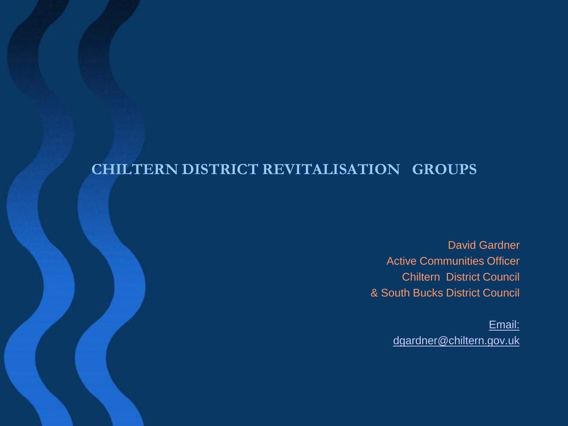#### **CHILTERN DISTRICT REVITALISATION GROUPS**

David Gardner Active Communities Officer Chiltern District Council & South Bucks District Council

> [Email:](mailto:dgardner@chiltern.gov.uk) [dgardner@chiltern.gov.uk](mailto:dgardner@chiltern.gov.uk)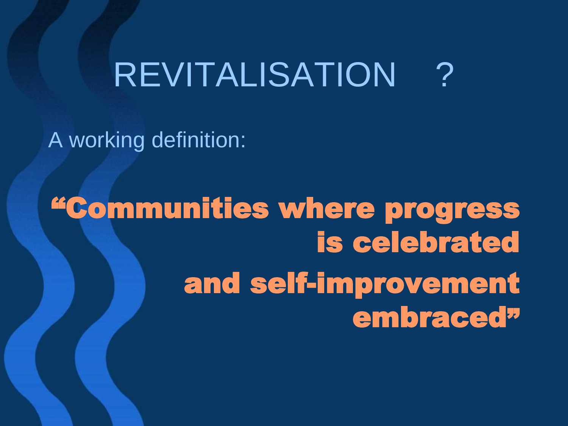# **REVITALISATION**

A working definition:

"Communities where progress is celebrated and self-improvement embraced"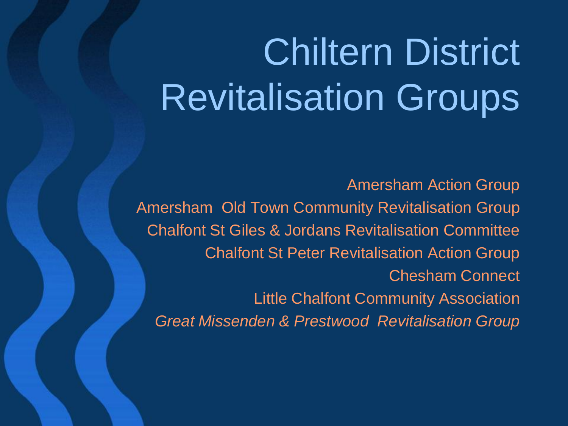# Chiltern District Revitalisation Groups

Amersham Action Group Amersham Old Town Community Revitalisation Group Chalfont St Giles & Jordans Revitalisation Committee Chalfont St Peter Revitalisation Action Group Chesham Connect Little Chalfont Community Association *Great Missenden & Prestwood Revitalisation Group*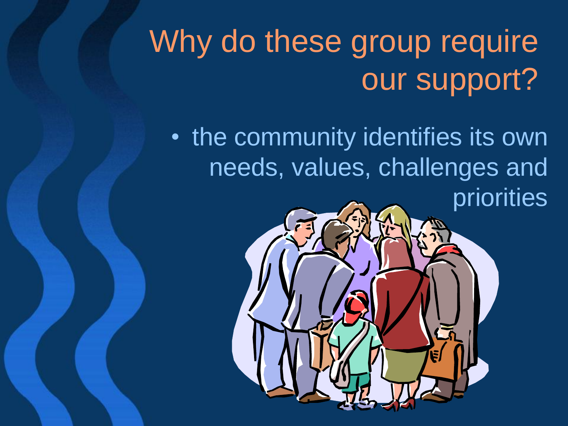# Why do these group require our support?

• the community identifies its own needs, values, challenges and priorities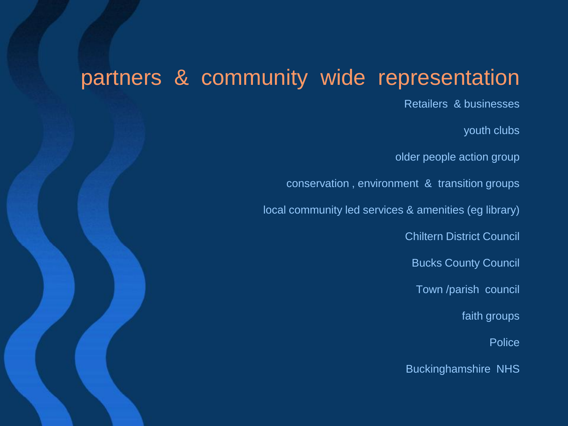#### partners & community wide representation

Retailers & businesses

youth clubs

older people action group

conservation , environment & transition groups

local community led services & amenities (eg library)

Chiltern District Council

Bucks County Council

Town /parish council

faith groups

Police

Buckinghamshire NHS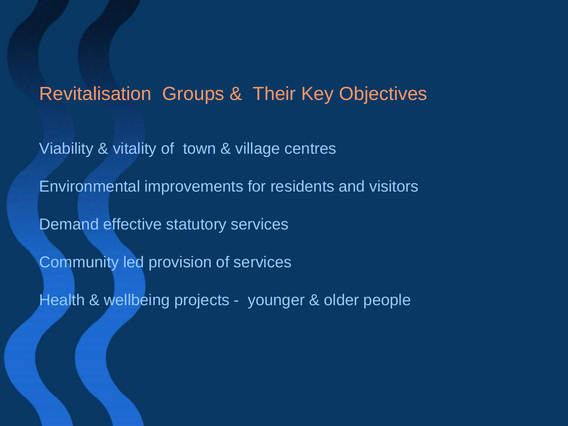#### Revitalisation Groups & Their Key Objectives

Viability & vitality of town & village centres Environmental improvements for residents and visitors Demand effective statutory services Community led provision of services Health & wellbeing projects - younger & older people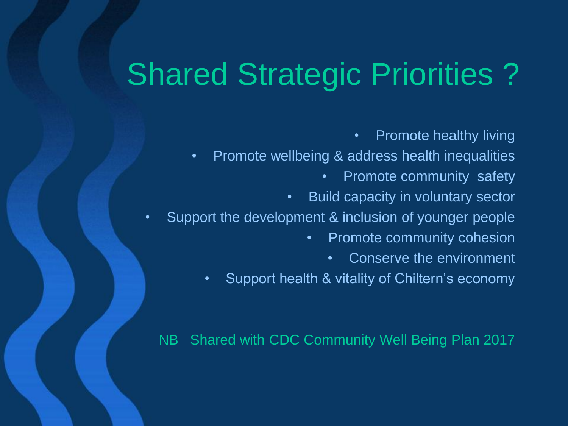### Shared Strategic Priorities ?

• Promote healthy living

- Promote wellbeing & address health inequalities
	- Promote community safety
	- Build capacity in voluntary sector
- Support the development & inclusion of younger people
	- Promote community cohesion
		- Conserve the environment
	- Support health & vitality of Chiltern's economy

NB Shared with CDC Community Well Being Plan 2017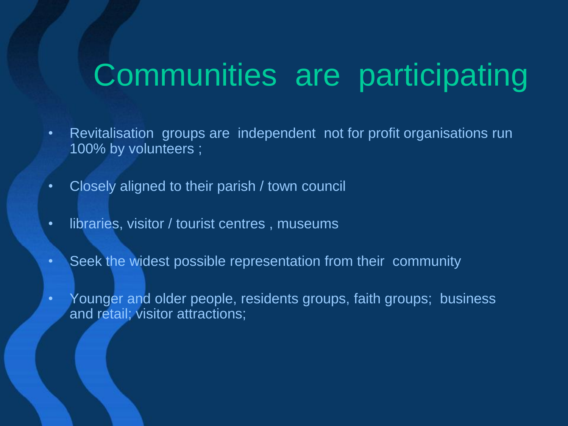#### Communities are participating

- Revitalisation groups are independent not for profit organisations run 100% by volunteers ;
- Closely aligned to their parish / town council
- libraries, visitor / tourist centres , museums
- Seek the widest possible representation from their community
- Younger and older people, residents groups, faith groups; business and retail; visitor attractions;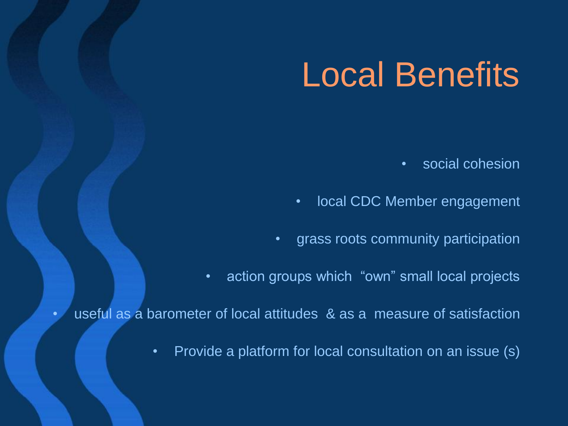# Local Benefits

- social cohesion
- local CDC Member engagement
- grass roots community participation
- action groups which "own" small local projects

• useful as a barometer of local attitudes & as a measure of satisfaction

• Provide a platform for local consultation on an issue (s)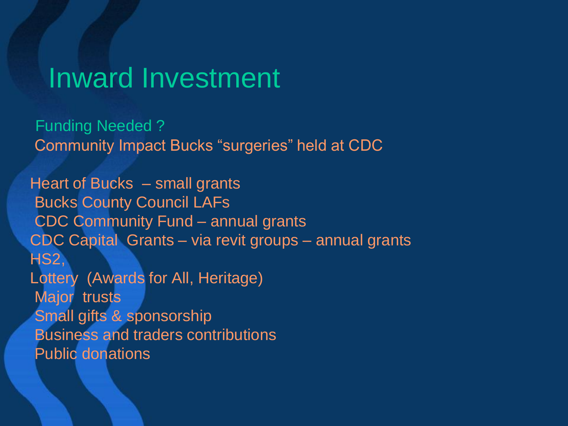#### Inward Investment

Funding Needed ? Community Impact Bucks "surgeries" held at CDC

Heart of Bucks – small grants Bucks County Council LAFs CDC Community Fund – annual grants CDC Capital Grants – via revit groups – annual grants HS2, Lottery (Awards for All, Heritage) Major trusts Small gifts & sponsorship Business and traders contributions Public donations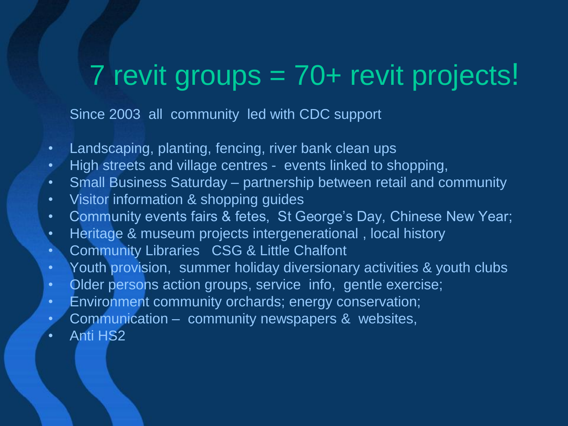#### 7 revit groups = 70+ revit projects!

Since 2003 all community led with CDC support

- Landscaping, planting, fencing, river bank clean ups
- High streets and village centres events linked to shopping,
- Small Business Saturday partnership between retail and community
- Visitor information & shopping guides
- Community events fairs & fetes, St George's Day, Chinese New Year;
- Heritage & museum projects intergenerational , local history
- Community Libraries CSG & Little Chalfont
- Youth provision, summer holiday diversionary activities & youth clubs
- Older persons action groups, service info, gentle exercise;
- Environment community orchards; energy conservation;
- Communication community newspapers & websites,
- Anti HS2